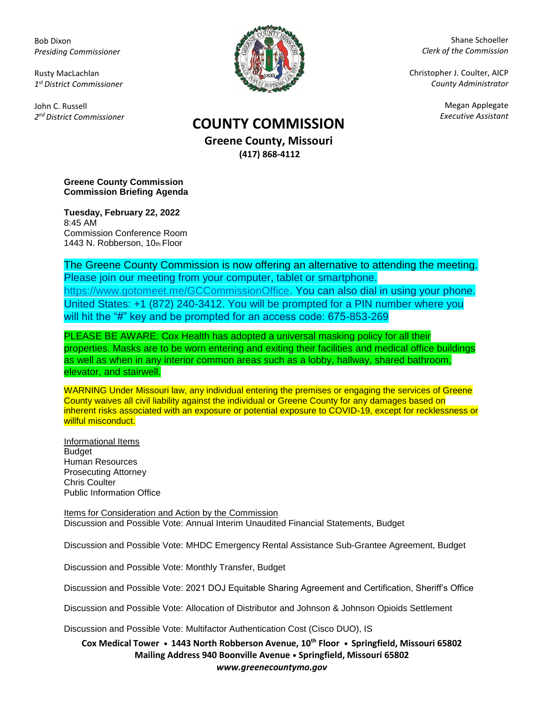Bob Dixon *Presiding Commissioner*

Rusty MacLachlan *1 st District Commissioner*

John C. Russell *2 nd District Commissioner*



Shane Schoeller *Clerk of the Commission*

Christopher J. Coulter, AICP *County Administrator*

Megan Applegate

## *Executive Assistant* **COUNTY COMMISSION**

**Greene County, Missouri (417) 868-4112**

**Greene County Commission Commission Briefing Agenda** 

**Tuesday, February 22, 2022** 8:45 AM Commission Conference Room 1443 N. Robberson, 10th Floor

The Greene County Commission is now offering an alternative to attending the meeting. Please join our meeting from your computer, tablet or smartphone. [https://www.gotomeet.me/GCCommissionOffice.](https://www.gotomeet.me/GCCommissionOffice) You can also dial in using your phone. United States: +1 (872) 240-3412. You will be prompted for a PIN number where you will hit the "#" key and be prompted for an access code: 675-853-269

PLEASE BE AWARE: Cox Health has adopted a universal masking policy for all their properties. Masks are to be worn entering and exiting their facilities and medical office buildings as well as when in any interior common areas such as a lobby, hallway, shared bathroom, elevator, and stairwell.

WARNING Under Missouri law, any individual entering the premises or engaging the services of Greene County waives all civil liability against the individual or Greene County for any damages based on inherent risks associated with an exposure or potential exposure to COVID-19, except for recklessness or willful misconduct.

Informational Items Budget Human Resources Prosecuting Attorney Chris Coulter Public Information Office

Items for Consideration and Action by the Commission Discussion and Possible Vote: Annual Interim Unaudited Financial Statements, Budget

Discussion and Possible Vote: MHDC Emergency Rental Assistance Sub-Grantee Agreement, Budget

Discussion and Possible Vote: Monthly Transfer, Budget

Discussion and Possible Vote: 2021 DOJ Equitable Sharing Agreement and Certification, Sheriff's Office

Discussion and Possible Vote: Allocation of Distributor and Johnson & Johnson Opioids Settlement

Discussion and Possible Vote: Multifactor Authentication Cost (Cisco DUO), IS

**Cox Medical Tower • 1443 North Robberson Avenue, 10th Floor • Springfield, Missouri 65802 Mailing Address 940 Boonville Avenue • Springfield, Missouri 65802** *www.greenecountymo.gov*